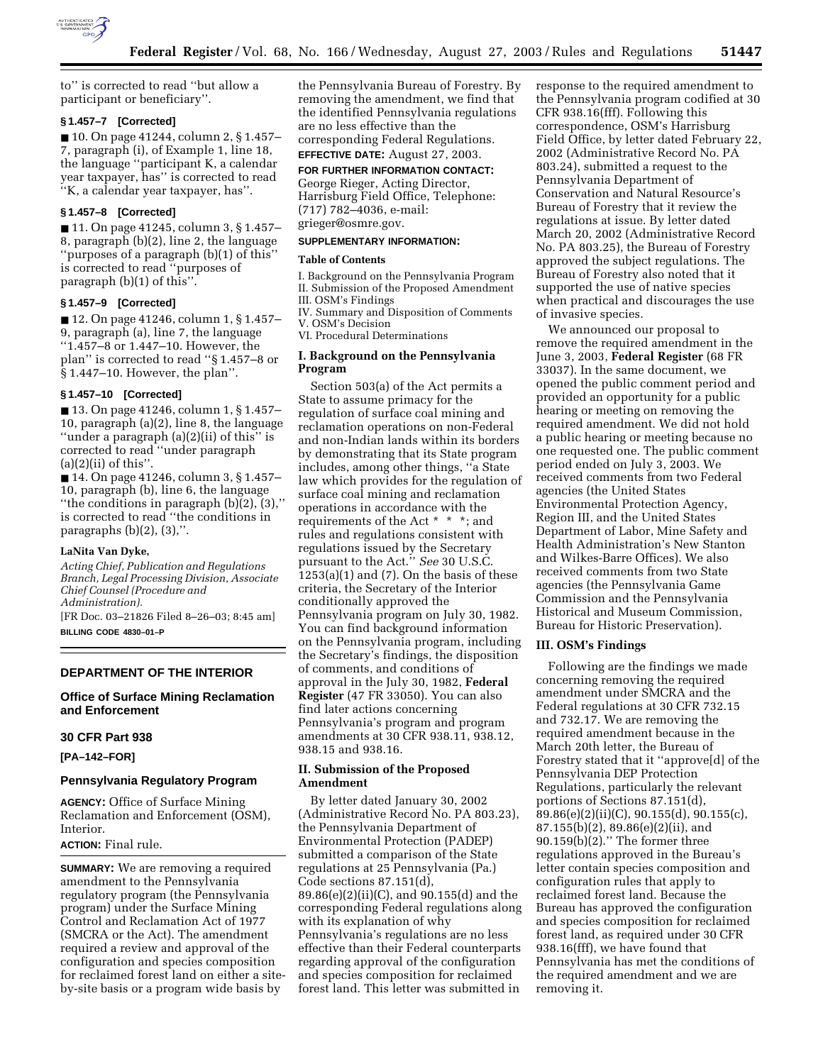

to'' is corrected to read ''but allow a participant or beneficiary''.

#### **§ 1.457–7 [Corrected]**

■ 10. On page 41244, column 2, § 1.457– 7, paragraph (i), of Example 1, line 18, the language ''participant K, a calendar year taxpayer, has'' is corrected to read ''K, a calendar year taxpayer, has''.

### **§ 1.457–8 [Corrected]**

■ 11. On page 41245, column 3, § 1.457-8, paragraph (b)(2), line 2, the language ''purposes of a paragraph (b)(1) of this'' is corrected to read ''purposes of paragraph (b)(1) of this''.

### **§ 1.457–9 [Corrected]**

■ 12. On page 41246, column 1, § 1.457– 9, paragraph (a), line 7, the language ''1.457–8 or 1.447–10. However, the plan'' is corrected to read ''§ 1.457–8 or § 1.447–10. However, the plan''.

#### **§ 1.457–10 [Corrected]**

■ 13. On page 41246, column 1, § 1.457– 10, paragraph (a)(2), line 8, the language ''under a paragraph (a)(2)(ii) of this'' is corrected to read ''under paragraph  $(a)(2)(ii)$  of this".

■ 14. On page 41246, column 3, § 1.457– 10, paragraph (b), line 6, the language "the conditions in paragraph  $(b)(2)$ ,  $(3)$ ," is corrected to read ''the conditions in paragraphs  $(b)(2)$ ,  $(3)$ ,".

#### **LaNita Van Dyke,**

*Acting Chief, Publication and Regulations Branch, Legal Processing Division, Associate Chief Counsel (Procedure and Administration).*

[FR Doc. 03–21826 Filed 8–26–03; 8:45 am] **BILLING CODE 4830–01–P**

#### **DEPARTMENT OF THE INTERIOR**

**Office of Surface Mining Reclamation and Enforcement** 

### **30 CFR Part 938**

**[PA–142–FOR]** 

#### **Pennsylvania Regulatory Program**

**AGENCY:** Office of Surface Mining Reclamation and Enforcement (OSM), Interior.

#### **ACTION:** Final rule.

**SUMMARY:** We are removing a required amendment to the Pennsylvania regulatory program (the Pennsylvania program) under the Surface Mining Control and Reclamation Act of 1977 (SMCRA or the Act). The amendment required a review and approval of the configuration and species composition for reclaimed forest land on either a siteby-site basis or a program wide basis by

the Pennsylvania Bureau of Forestry. By removing the amendment, we find that the identified Pennsylvania regulations are no less effective than the corresponding Federal Regulations.

### **EFFECTIVE DATE:** August 27, 2003. **FOR FURTHER INFORMATION CONTACT:**

George Rieger, Acting Director, Harrisburg Field Office, Telephone: (717) 782–4036, e-mail: grieger@osmre.gov.

#### **SUPPLEMENTARY INFORMATION:**

#### **Table of Contents**

I. Background on the Pennsylvania Program II. Submission of the Proposed Amendment III. OSM's Findings IV. Summary and Disposition of Comments

V. OSM's Decision

VI. Procedural Determinations

#### **I. Background on the Pennsylvania Program**

Section 503(a) of the Act permits a State to assume primacy for the regulation of surface coal mining and reclamation operations on non-Federal and non-Indian lands within its borders by demonstrating that its State program includes, among other things, ''a State law which provides for the regulation of surface coal mining and reclamation operations in accordance with the requirements of the Act \* \* \*; and rules and regulations consistent with regulations issued by the Secretary pursuant to the Act.'' *See* 30 U.S.C.  $1253(a)(1)$  and  $(7)$ . On the basis of these criteria, the Secretary of the Interior conditionally approved the Pennsylvania program on July 30, 1982. You can find background information on the Pennsylvania program, including the Secretary's findings, the disposition of comments, and conditions of approval in the July 30, 1982, **Federal Register** (47 FR 33050). You can also find later actions concerning Pennsylvania's program and program amendments at 30 CFR 938.11, 938.12, 938.15 and 938.16.

### **II. Submission of the Proposed Amendment**

By letter dated January 30, 2002 (Administrative Record No. PA 803.23), the Pennsylvania Department of Environmental Protection (PADEP) submitted a comparison of the State regulations at 25 Pennsylvania (Pa.) Code sections 87.151(d), 89.86(e)(2)(ii)(C), and 90.155(d) and the corresponding Federal regulations along with its explanation of why Pennsylvania's regulations are no less effective than their Federal counterparts regarding approval of the configuration and species composition for reclaimed forest land. This letter was submitted in

response to the required amendment to the Pennsylvania program codified at 30 CFR 938.16(fff). Following this correspondence, OSM's Harrisburg Field Office, by letter dated February 22, 2002 (Administrative Record No. PA 803.24), submitted a request to the Pennsylvania Department of Conservation and Natural Resource's Bureau of Forestry that it review the regulations at issue. By letter dated March 20, 2002 (Administrative Record No. PA 803.25), the Bureau of Forestry approved the subject regulations. The Bureau of Forestry also noted that it supported the use of native species when practical and discourages the use of invasive species.

We announced our proposal to remove the required amendment in the June 3, 2003, **Federal Register** (68 FR 33037). In the same document, we opened the public comment period and provided an opportunity for a public hearing or meeting on removing the required amendment. We did not hold a public hearing or meeting because no one requested one. The public comment period ended on July 3, 2003. We received comments from two Federal agencies (the United States Environmental Protection Agency, Region III, and the United States Department of Labor, Mine Safety and Health Administration's New Stanton and Wilkes-Barre Offices). We also received comments from two State agencies (the Pennsylvania Game Commission and the Pennsylvania Historical and Museum Commission, Bureau for Historic Preservation).

### **III. OSM's Findings**

Following are the findings we made concerning removing the required amendment under SMCRA and the Federal regulations at 30 CFR 732.15 and 732.17. We are removing the required amendment because in the March 20th letter, the Bureau of Forestry stated that it ''approve[d] of the Pennsylvania DEP Protection Regulations, particularly the relevant portions of Sections 87.151(d), 89.86(e)(2)(ii)(C), 90.155(d), 90.155(c), 87.155(b)(2), 89.86(e)(2)(ii), and 90.159(b)(2).'' The former three regulations approved in the Bureau's letter contain species composition and configuration rules that apply to reclaimed forest land. Because the Bureau has approved the configuration and species composition for reclaimed forest land, as required under 30 CFR 938.16(fff), we have found that Pennsylvania has met the conditions of the required amendment and we are removing it.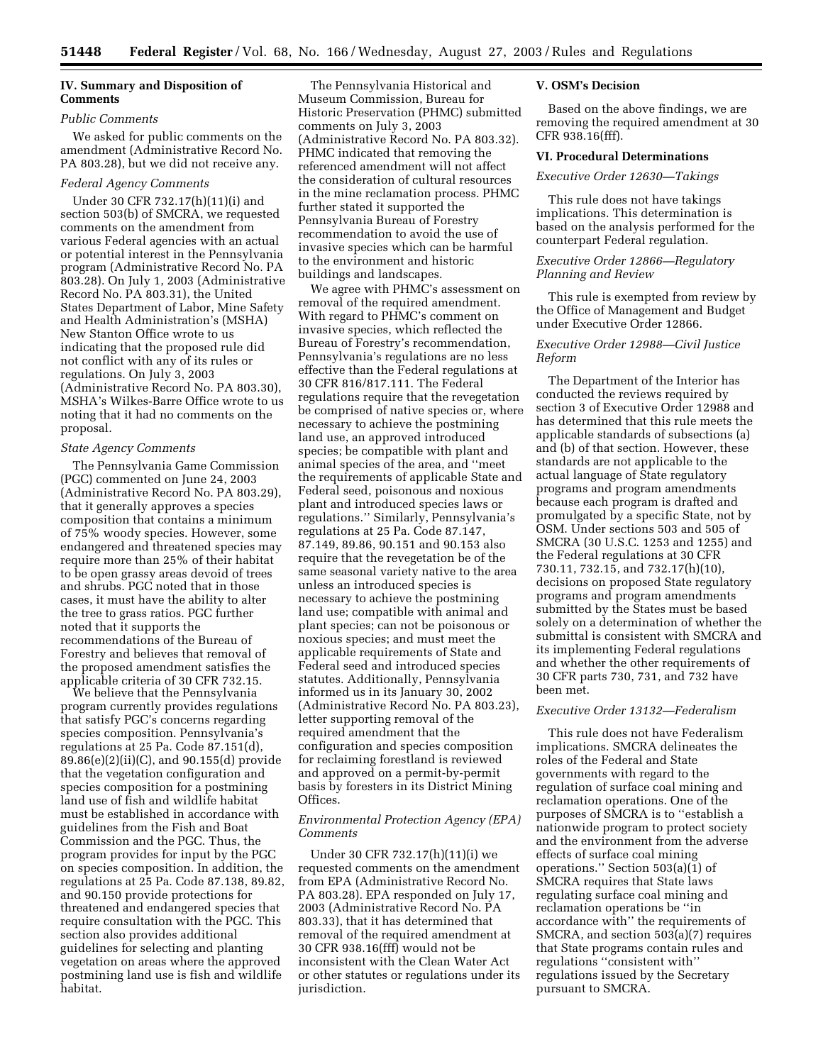## **IV. Summary and Disposition of Comments**

# *Public Comments*

We asked for public comments on the amendment (Administrative Record No. PA 803.28), but we did not receive any.

### *Federal Agency Comments*

Under 30 CFR 732.17(h)(11)(i) and section 503(b) of SMCRA, we requested comments on the amendment from various Federal agencies with an actual or potential interest in the Pennsylvania program (Administrative Record No. PA 803.28). On July 1, 2003 (Administrative Record No. PA 803.31), the United States Department of Labor, Mine Safety and Health Administration's (MSHA) New Stanton Office wrote to us indicating that the proposed rule did not conflict with any of its rules or regulations. On July 3, 2003 (Administrative Record No. PA 803.30), MSHA's Wilkes-Barre Office wrote to us noting that it had no comments on the proposal.

#### *State Agency Comments*

The Pennsylvania Game Commission (PGC) commented on June 24, 2003 (Administrative Record No. PA 803.29), that it generally approves a species composition that contains a minimum of 75% woody species. However, some endangered and threatened species may require more than 25% of their habitat to be open grassy areas devoid of trees and shrubs. PGC noted that in those cases, it must have the ability to alter the tree to grass ratios. PGC further noted that it supports the recommendations of the Bureau of Forestry and believes that removal of the proposed amendment satisfies the applicable criteria of 30 CFR 732.15.

We believe that the Pennsylvania program currently provides regulations that satisfy PGC's concerns regarding species composition. Pennsylvania's regulations at 25 Pa. Code 87.151(d), 89.86(e)(2)(ii)(C), and 90.155(d) provide that the vegetation configuration and species composition for a postmining land use of fish and wildlife habitat must be established in accordance with guidelines from the Fish and Boat Commission and the PGC. Thus, the program provides for input by the PGC on species composition. In addition, the regulations at 25 Pa. Code 87.138, 89.82, and 90.150 provide protections for threatened and endangered species that require consultation with the PGC. This section also provides additional guidelines for selecting and planting vegetation on areas where the approved postmining land use is fish and wildlife habitat.

The Pennsylvania Historical and Museum Commission, Bureau for Historic Preservation (PHMC) submitted comments on July 3, 2003 (Administrative Record No. PA 803.32). PHMC indicated that removing the referenced amendment will not affect the consideration of cultural resources in the mine reclamation process. PHMC further stated it supported the Pennsylvania Bureau of Forestry recommendation to avoid the use of invasive species which can be harmful to the environment and historic buildings and landscapes.

We agree with PHMC's assessment on removal of the required amendment. With regard to PHMC's comment on invasive species, which reflected the Bureau of Forestry's recommendation, Pennsylvania's regulations are no less effective than the Federal regulations at 30 CFR 816/817.111. The Federal regulations require that the revegetation be comprised of native species or, where necessary to achieve the postmining land use, an approved introduced species; be compatible with plant and animal species of the area, and ''meet the requirements of applicable State and Federal seed, poisonous and noxious plant and introduced species laws or regulations.'' Similarly, Pennsylvania's regulations at 25 Pa. Code 87.147, 87.149, 89.86, 90.151 and 90.153 also require that the revegetation be of the same seasonal variety native to the area unless an introduced species is necessary to achieve the postmining land use; compatible with animal and plant species; can not be poisonous or noxious species; and must meet the applicable requirements of State and Federal seed and introduced species statutes. Additionally, Pennsylvania informed us in its January 30, 2002 (Administrative Record No. PA 803.23), letter supporting removal of the required amendment that the configuration and species composition for reclaiming forestland is reviewed and approved on a permit-by-permit basis by foresters in its District Mining Offices.

## *Environmental Protection Agency (EPA) Comments*

Under 30 CFR 732.17(h)(11)(i) we requested comments on the amendment from EPA (Administrative Record No. PA 803.28). EPA responded on July 17, 2003 (Administrative Record No. PA 803.33), that it has determined that removal of the required amendment at 30 CFR 938.16(fff) would not be inconsistent with the Clean Water Act or other statutes or regulations under its jurisdiction.

### **V. OSM's Decision**

Based on the above findings, we are removing the required amendment at 30 CFR 938.16(fff).

#### **VI. Procedural Determinations**

#### *Executive Order 12630—Takings*

This rule does not have takings implications. This determination is based on the analysis performed for the counterpart Federal regulation.

## *Executive Order 12866—Regulatory Planning and Review*

This rule is exempted from review by the Office of Management and Budget under Executive Order 12866.

### *Executive Order 12988—Civil Justice Reform*

The Department of the Interior has conducted the reviews required by section 3 of Executive Order 12988 and has determined that this rule meets the applicable standards of subsections (a) and (b) of that section. However, these standards are not applicable to the actual language of State regulatory programs and program amendments because each program is drafted and promulgated by a specific State, not by OSM. Under sections 503 and 505 of SMCRA (30 U.S.C. 1253 and 1255) and the Federal regulations at 30 CFR 730.11, 732.15, and 732.17(h)(10), decisions on proposed State regulatory programs and program amendments submitted by the States must be based solely on a determination of whether the submittal is consistent with SMCRA and its implementing Federal regulations and whether the other requirements of 30 CFR parts 730, 731, and 732 have been met.

# *Executive Order 13132—Federalism*

This rule does not have Federalism implications. SMCRA delineates the roles of the Federal and State governments with regard to the regulation of surface coal mining and reclamation operations. One of the purposes of SMCRA is to ''establish a nationwide program to protect society and the environment from the adverse effects of surface coal mining operations.'' Section 503(a)(1) of SMCRA requires that State laws regulating surface coal mining and reclamation operations be ''in accordance with'' the requirements of SMCRA, and section 503(a)(7) requires that State programs contain rules and regulations ''consistent with'' regulations issued by the Secretary pursuant to SMCRA.